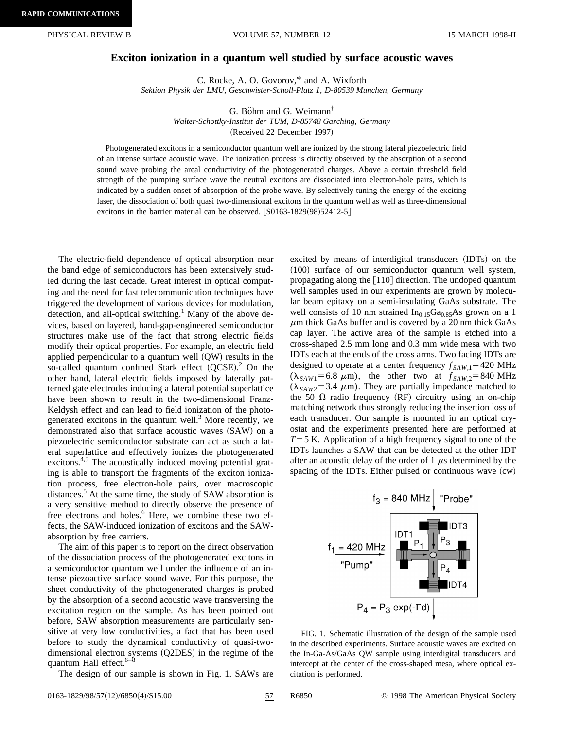## **Exciton ionization in a quantum well studied by surface acoustic waves**

C. Rocke, A. O. Govorov,\* and A. Wixforth Sektion Physik der LMU, Geschwister-Scholl-Platz 1, D-80539 München, Germany

> G. Böhm and G. Weimann $^{\dagger}$ *Walter-Schottky-Institut der TUM, D-85748 Garching, Germany* (Received 22 December 1997)

Photogenerated excitons in a semiconductor quantum well are ionized by the strong lateral piezoelectric field of an intense surface acoustic wave. The ionization process is directly observed by the absorption of a second sound wave probing the areal conductivity of the photogenerated charges. Above a certain threshold field strength of the pumping surface wave the neutral excitons are dissociated into electron-hole pairs, which is indicated by a sudden onset of absorption of the probe wave. By selectively tuning the energy of the exciting laser, the dissociation of both quasi two-dimensional excitons in the quantum well as well as three-dimensional excitons in the barrier material can be observed.  $[$0163-1829(98)52412-5]$ 

The electric-field dependence of optical absorption near the band edge of semiconductors has been extensively studied during the last decade. Great interest in optical computing and the need for fast telecommunication techniques have triggered the development of various devices for modulation, detection, and all-optical switching.<sup>1</sup> Many of the above devices, based on layered, band-gap-engineered semiconductor structures make use of the fact that strong electric fields modify their optical properties. For example, an electric field applied perpendicular to a quantum well  $(OW)$  results in the so-called quantum confined Stark effect (QCSE).<sup>2</sup> On the other hand, lateral electric fields imposed by laterally patterned gate electrodes inducing a lateral potential superlattice have been shown to result in the two-dimensional Franz-Keldysh effect and can lead to field ionization of the photogenerated excitons in the quantum well. $3$  More recently, we demonstrated also that surface acoustic waves (SAW) on a piezoelectric semiconductor substrate can act as such a lateral superlattice and effectively ionizes the photogenerated excitons.<sup>4,5</sup> The acoustically induced moving potential grating is able to transport the fragments of the exciton ionization process, free electron-hole pairs, over macroscopic distances.<sup>5</sup> At the same time, the study of SAW absorption is a very sensitive method to directly observe the presence of free electrons and holes. $<sup>6</sup>$  Here, we combine these two ef-</sup> fects, the SAW-induced ionization of excitons and the SAWabsorption by free carriers.

The aim of this paper is to report on the direct observation of the dissociation process of the photogenerated excitons in a semiconductor quantum well under the influence of an intense piezoactive surface sound wave. For this purpose, the sheet conductivity of the photogenerated charges is probed by the absorption of a second acoustic wave transversing the excitation region on the sample. As has been pointed out before, SAW absorption measurements are particularly sensitive at very low conductivities, a fact that has been used before to study the dynamical conductivity of quasi-twodimensional electron systems  $(Q2DES)$  in the regime of the quantum Hall effect. $6-8$ 

The design of our sample is shown in Fig. 1. SAWs are

excited by means of interdigital transducers (IDTs) on the  $(100)$  surface of our semiconductor quantum well system, propagating along the  $[110]$  direction. The undoped quantum well samples used in our experiments are grown by molecular beam epitaxy on a semi-insulating GaAs substrate. The well consists of 10 nm strained  $In<sub>0.15</sub>Ga<sub>0.85</sub>As grown on a 1$  $\mu$ m thick GaAs buffer and is covered by a 20 nm thick GaAs cap layer. The active area of the sample is etched into a cross-shaped 2.5 mm long and 0.3 mm wide mesa with two IDTs each at the ends of the cross arms. Two facing IDTs are designed to operate at a center frequency  $f_{SAW,1} = 420 \text{ MHz}$  $(\lambda_{SAW1} = 6.8 \mu m)$ , the other two at  $f_{SAW2} = 840 \text{ MHz}$  $(\lambda_{SAW2}$ =3.4  $\mu$ m). They are partially impedance matched to the 50  $\Omega$  radio frequency (RF) circuitry using an on-chip matching network thus strongly reducing the insertion loss of each transducer. Our sample is mounted in an optical cryostat and the experiments presented here are performed at  $T=5$  K. Application of a high frequency signal to one of the IDTs launches a SAW that can be detected at the other IDT after an acoustic delay of the order of  $1 \mu s$  determined by the spacing of the IDTs. Either pulsed or continuous wave  $(cw)$ 



FIG. 1. Schematic illustration of the design of the sample used in the described experiments. Surface acoustic waves are excited on the In-Ga-As/GaAs QW sample using interdigital transducers and intercept at the center of the cross-shaped mesa, where optical excitation is performed.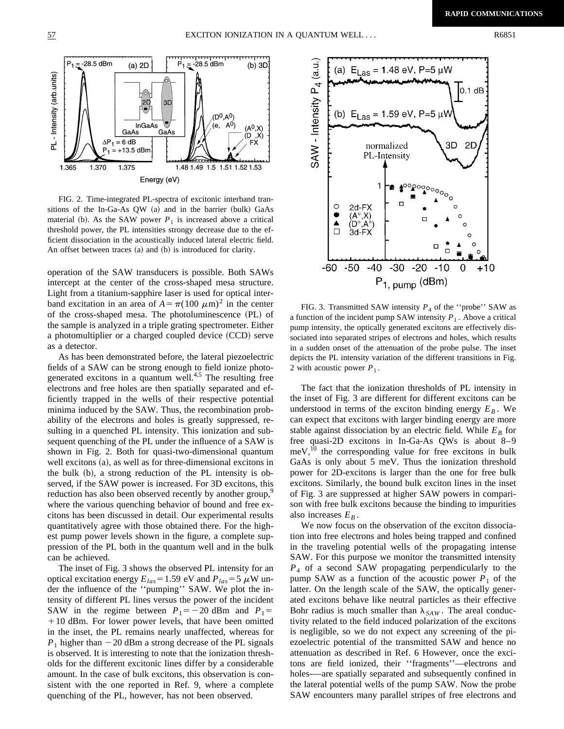



FIG. 2. Time-integrated PL-spectra of excitonic interband transitions of the In-Ga-As  $QW$  (a) and in the barrier (bulk) GaAs material (b). As the SAW power  $P_1$  is increased above a critical threshold power, the PL intensities strongy decrease due to the efficient dissociation in the acoustically induced lateral electric field. An offset between traces  $(a)$  and  $(b)$  is introduced for clarity.

operation of the SAW transducers is possible. Both SAWs intercept at the center of the cross-shaped mesa structure. Light from a titanium-sapphire laser is used for optical interband excitation in an area of  $A = \pi (100 \ \mu \text{m})^2$  in the center of the cross-shaped mesa. The photoluminescence (PL) of the sample is analyzed in a triple grating spectrometer. Either a photomultiplier or a charged coupled device (CCD) serve as a detector.

As has been demonstrated before, the lateral piezoelectric fields of a SAW can be strong enough to field ionize photogenerated excitons in a quantum well.<sup>4,5</sup> The resulting free electrons and free holes are then spatially separated and efficiently trapped in the wells of their respective potential minima induced by the SAW. Thus, the recombination probability of the electrons and holes is greatly suppressed, resulting in a quenched PL intensity. This ionization and subsequent quenching of the PL under the influence of a SAW is shown in Fig. 2. Both for quasi-two-dimensional quantum well excitons  $(a)$ , as well as for three-dimensional excitons in the bulk  $(b)$ , a strong reduction of the PL intensity is observed, if the SAW power is increased. For 3D excitons, this reduction has also been observed recently by another group,<sup>9</sup> where the various quenching behavior of bound and free excitons has been discussed in detail. Our experimental results quantitatively agree with those obtained there. For the highest pump power levels shown in the figure, a complete suppression of the PL both in the quantum well and in the bulk can be achieved.

The inset of Fig. 3 shows the observed PL intensity for an optical excitation energy  $E_{las} = 1.59$  eV and  $P_{las} = 5 \mu$ W under the influence of the ''pumping'' SAW. We plot the intensity of different PL lines versus the power of the incident SAW in the regime between  $P_1 = -20$  dBm and  $P_1 =$ +10 dBm. For lower power levels, that have been omitted in the inset, the PL remains nearly unaffected, whereas for  $P_1$  higher than  $-20$  dBm a strong decrease of the PL signals is observed. It is interesting to note that the ionization thresholds for the different excitonic lines differ by a considerable amount. In the case of bulk excitons, this observation is consistent with the one reported in Ref. 9, where a complete quenching of the PL, however, has not been observed.



FIG. 3. Transmitted SAW intensity  $P_4$  of the "probe" SAW as a function of the incident pump SAW intensity  $P_1$ . Above a critical pump intensity, the optically generated excitons are effectively dissociated into separated stripes of electrons and holes, which results in a sudden onset of the attenuation of the probe pulse. The inset depicts the PL intensity variation of the different transitions in Fig. 2 with acoustic power  $P_1$ .

The fact that the ionization thresholds of PL intensity in the inset of Fig. 3 are different for different excitons can be understood in terms of the exciton binding energy  $E_B$ . We can expect that excitons with larger binding energy are more stable against dissociation by an electric field. While  $E_B$  for free quasi-2D excitons in In-Ga-As QWs is about 8–9  $meV<sub>10</sub>$ , the corresponding value for free excitons in bulk GaAs is only about 5 meV. Thus the ionization threshold power for 2D-excitons is larger than the one for free bulk excitons. Similarly, the bound bulk exciton lines in the inset of Fig. 3 are suppressed at higher SAW powers in comparison with free bulk excitons because the binding to impurities also increases  $E_B$ .

We now focus on the observation of the exciton dissociation into free electrons and holes being trapped and confined in the traveling potential wells of the propagating intense SAW. For this purpose we monitor the transmitted intensity *P*<sup>4</sup> of a second SAW propagating perpendicularly to the pump SAW as a function of the acoustic power  $P_1$  of the latter. On the length scale of the SAW, the optically generated excitons behave like neutral particles as their effective Bohr radius is much smaller than  $\lambda_{SAW}$ . The areal conductivity related to the field induced polarization of the excitons is negligible, so we do not expect any screening of the piezoelectric potential of the transmitted SAW and hence no attenuation as described in Ref. 6 However, once the excitons are field ionized, their ''fragments''—electrons and holes—are spatially separated and subsequently confined in the lateral potential wells of the pump SAW. Now the probe SAW encounters many parallel stripes of free electrons and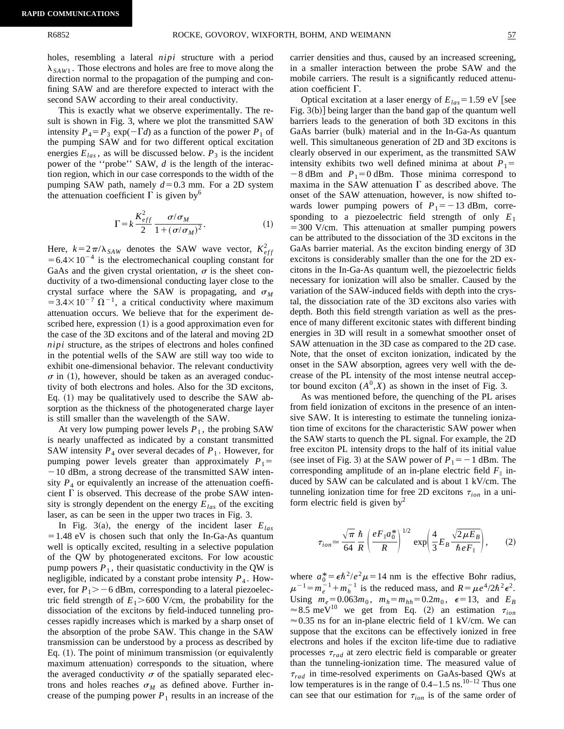holes, resembling a lateral *nipi* structure with a period  $\lambda_{SAW1}$ . Those electrons and holes are free to move along the direction normal to the propagation of the pumping and confining SAW and are therefore expected to interact with the second SAW according to their areal conductivity.

This is exactly what we observe experimentally. The result is shown in Fig. 3, where we plot the transmitted SAW intensity  $P_4 = P_3 \exp(-\Gamma d)$  as a function of the power  $P_1$  of the pumping SAW and for two different optical excitation energies  $E_{las}$ , as will be discussed below.  $P_3$  is the incident power of the ''probe'' SAW, *d* is the length of the interaction region, which in our case corresponds to the width of the pumping SAW path, namely  $d=0.3$  mm. For a 2D system the attenuation coefficient  $\Gamma$  is given by<sup>6</sup>

$$
\Gamma = k \frac{K_{eff}^2}{2} \frac{\sigma/\sigma_M}{1 + (\sigma/\sigma_M)^2}.
$$
 (1)

Here,  $k=2\pi/\lambda_{SAW}$  denotes the SAW wave vector,  $K_{eff}^2$  $=6.4\times10^{-4}$  is the electromechanical coupling constant for GaAs and the given crystal orientation,  $\sigma$  is the sheet conductivity of a two-dimensional conducting layer close to the crystal surface where the SAW is propagating, and  $\sigma_M$  $=3.4\times10^{-7} \ \Omega^{-1}$ , a critical conductivity where maximum attenuation occurs. We believe that for the experiment described here, expression  $(1)$  is a good approximation even for the case of the 3D excitons and of the lateral and moving 2D *nipi* structure, as the stripes of electrons and holes confined in the potential wells of the SAW are still way too wide to exhibit one-dimensional behavior. The relevant conductivity  $\sigma$  in (1), however, should be taken as an averaged conductivity of both electrons and holes. Also for the 3D excitons, Eq.  $(1)$  may be qualitatively used to describe the SAW absorption as the thickness of the photogenerated charge layer is still smaller than the wavelength of the SAW.

At very low pumping power levels  $P_1$ , the probing SAW is nearly unaffected as indicated by a constant transmitted SAW intensity  $P_4$  over several decades of  $P_1$ . However, for pumping power levels greater than approximately  $P_1$ =  $-10$  dBm, a strong decrease of the transmitted SAW intensity  $P_4$  or equivalently an increase of the attenuation coefficient  $\Gamma$  is observed. This decrease of the probe SAW intensity is strongly dependent on the energy  $E_{las}$  of the exciting laser, as can be seen in the upper two traces in Fig. 3.

In Fig. 3(a), the energy of the incident laser  $E_{las}$  $=1.48$  eV is chosen such that only the In-Ga-As quantum well is optically excited, resulting in a selective population of the QW by photogenerated excitons. For low acoustic pump powers  $P_1$ , their quasistatic conductivity in the QW is negligible, indicated by a constant probe intensity  $P_4$ . However, for  $P_1$   $>$  – 6 dBm, corresponding to a lateral piezoelectric field strength of  $E_1 > 600$  V/cm, the probability for the dissociation of the excitons by field-induced tunneling processes rapidly increases which is marked by a sharp onset of the absorption of the probe SAW. This change in the SAW transmission can be understood by a process as described by Eq.  $(1)$ . The point of minimum transmission (or equivalently maximum attenuation) corresponds to the situation, where the averaged conductivity  $\sigma$  of the spatially separated electrons and holes reaches  $\sigma_M$  as defined above. Further increase of the pumping power  $P_1$  results in an increase of the carrier densities and thus, caused by an increased screening,

in a smaller interaction between the probe SAW and the mobile carriers. The result is a significantly reduced attenuation coefficient  $\Gamma$ . Optical excitation at a laser energy of  $E_{las} = 1.59 \text{ eV}$  [see Fig.  $3(b)$ ] being larger than the band gap of the quantum well barriers leads to the generation of both 3D excitons in this GaAs barrier (bulk) material and in the In-Ga-As quantum well. This simultaneous generation of 2D and 3D excitons is clearly observed in our experiment, as the transmitted SAW intensity exhibits two well defined minima at about  $P_1$ =  $-8$  dBm and  $P_1=0$  dBm. Those minima correspond to maxima in the SAW attenuation  $\Gamma$  as described above. The onset of the SAW attenuation, however, is now shifted towards lower pumping powers of  $P_1 = -13$  dBm, corresponding to a piezoelectric field strength of only *E*<sup>1</sup>  $=$  300 V/cm. This attenuation at smaller pumping powers can be attributed to the dissociation of the 3D excitons in the GaAs barrier material. As the exciton binding energy of 3D excitons is considerably smaller than the one for the 2D excitons in the In-Ga-As quantum well, the piezoelectric fields necessary for ionization will also be smaller. Caused by the variation of the SAW-induced fields with depth into the crystal, the dissociation rate of the 3D excitons also varies with depth. Both this field strength variation as well as the pres-

ence of many different excitonic states with different binding energies in 3D will result in a somewhat smoother onset of SAW attenuation in the 3D case as compared to the 2D case. Note, that the onset of exciton ionization, indicated by the onset in the SAW absorption, agrees very well with the decrease of the PL intensity of the most intense neutral acceptor bound exciton  $(A^0, X)$  as shown in the inset of Fig. 3.

As was mentioned before, the quenching of the PL arises from field ionization of excitons in the presence of an intensive SAW. It is interesting to estimate the tunneling ionization time of excitons for the characteristic SAW power when the SAW starts to quench the PL signal. For example, the 2D free exciton PL intensity drops to the half of its initial value (see inset of Fig. 3) at the SAW power of  $P_1 = -1$  dBm. The corresponding amplitude of an in-plane electric field  $F_{\parallel}$  induced by SAW can be calculated and is about 1 kV/cm. The tunneling ionization time for free 2D excitons  $\tau_{ion}$  in a uniform electric field is given by<sup>2</sup>

$$
\tau_{ion} \simeq \frac{\sqrt{\pi}}{64} \frac{\hbar}{R} \left( \frac{eF_{\parallel} a_0^*}{R} \right)^{1/2} \exp\left( \frac{4}{3} E_B \frac{\sqrt{2 \mu E_B}}{\hbar eF_{\parallel}} \right), \qquad (2)
$$

where  $a_0^* = \epsilon \hbar^2/e^2 \mu = 14$  nm is the effective Bohr radius,  $\mu^{-1} = m_e^{-1} + m_h^{-1}$  is the reduced mass, and  $R = \mu e^4/2\hbar^2 \epsilon^2$ . Using  $m_e = 0.063m_0$ ,  $m_h = m_{hh} = 0.2m_0$ ,  $\epsilon = 13$ , and  $E_B$  $\approx 8.5$  meV<sup>10</sup> we get from Eq. (2) an estimation  $\tau_{ion}$  $\approx$  0.35 ns for an in-plane electric field of 1 kV/cm. We can suppose that the excitons can be effectively ionized in free electrons and holes if the exciton life-time due to radiative processes  $\tau_{rad}$  at zero electric field is comparable or greater than the tunneling-ionization time. The measured value of  $\tau_{rad}$  in time-resolved experiments on GaAs-based QWs at low temperatures is in the range of  $0.4-1.5$  ns.<sup>10–12</sup> Thus one can see that our estimation for  $\tau_{ion}$  is of the same order of